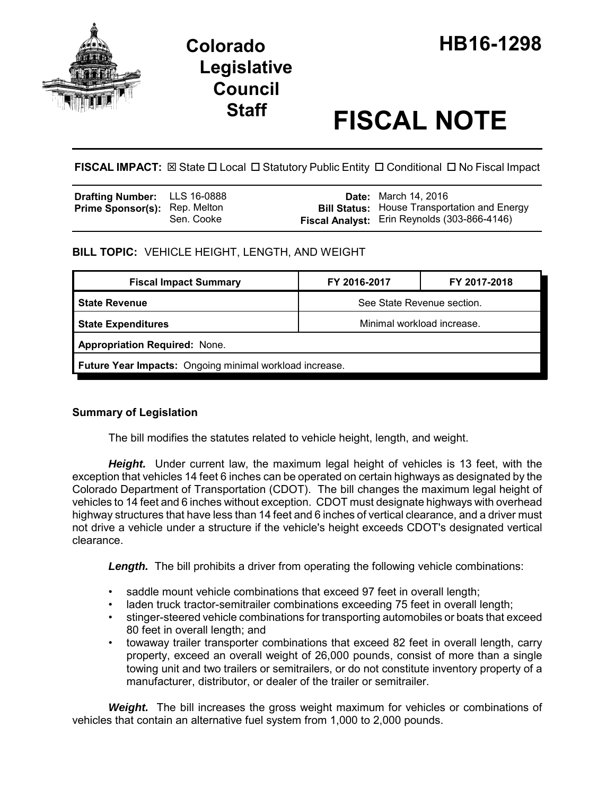

# **Staff FISCAL NOTE**

**FISCAL IMPACT:** ⊠ State □ Local □ Statutory Public Entity □ Conditional □ No Fiscal Impact

| <b>Drafting Number:</b> LLS 16-0888  |            | <b>Date:</b> March 14, 2016                         |
|--------------------------------------|------------|-----------------------------------------------------|
| <b>Prime Sponsor(s): Rep. Melton</b> |            | <b>Bill Status:</b> House Transportation and Energy |
|                                      | Sen. Cooke | Fiscal Analyst: Erin Reynolds (303-866-4146)        |

## **BILL TOPIC:** VEHICLE HEIGHT, LENGTH, AND WEIGHT

| <b>Fiscal Impact Summary</b>                            | FY 2016-2017               | FY 2017-2018 |  |  |  |
|---------------------------------------------------------|----------------------------|--------------|--|--|--|
| <b>State Revenue</b>                                    | See State Revenue section. |              |  |  |  |
| <b>State Expenditures</b>                               | Minimal workload increase. |              |  |  |  |
| <b>Appropriation Required: None.</b>                    |                            |              |  |  |  |
| Future Year Impacts: Ongoing minimal workload increase. |                            |              |  |  |  |

## **Summary of Legislation**

The bill modifies the statutes related to vehicle height, length, and weight.

*Height.* Under current law, the maximum legal height of vehicles is 13 feet, with the exception that vehicles 14 feet 6 inches can be operated on certain highways as designated by the Colorado Department of Transportation (CDOT). The bill changes the maximum legal height of vehicles to 14 feet and 6 inches without exception. CDOT must designate highways with overhead highway structures that have less than 14 feet and 6 inches of vertical clearance, and a driver must not drive a vehicle under a structure if the vehicle's height exceeds CDOT's designated vertical clearance.

**Length.** The bill prohibits a driver from operating the following vehicle combinations:

- saddle mount vehicle combinations that exceed 97 feet in overall length;
- laden truck tractor-semitrailer combinations exceeding 75 feet in overall length;
- stinger-steered vehicle combinations for transporting automobiles or boats that exceed 80 feet in overall length; and
- towaway trailer transporter combinations that exceed 82 feet in overall length, carry property, exceed an overall weight of 26,000 pounds, consist of more than a single towing unit and two trailers or semitrailers, or do not constitute inventory property of a manufacturer, distributor, or dealer of the trailer or semitrailer.

*Weight.* The bill increases the gross weight maximum for vehicles or combinations of vehicles that contain an alternative fuel system from 1,000 to 2,000 pounds.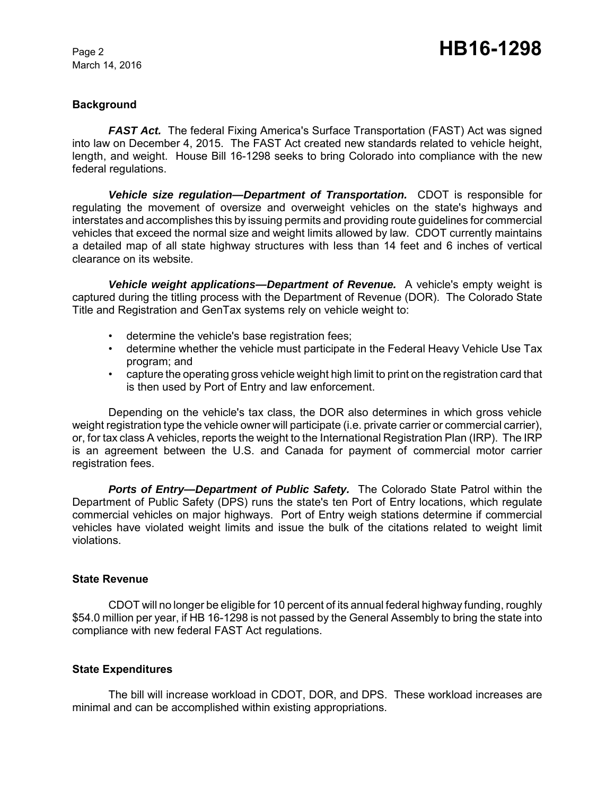March 14, 2016

#### **Background**

*FAST Act.* The federal Fixing America's Surface Transportation (FAST) Act was signed into law on December 4, 2015. The FAST Act created new standards related to vehicle height, length, and weight. House Bill 16-1298 seeks to bring Colorado into compliance with the new federal regulations.

*Vehicle size regulation—Department of Transportation.* CDOT is responsible for regulating the movement of oversize and overweight vehicles on the state's highways and interstates and accomplishes this by issuing permits and providing route guidelines for commercial vehicles that exceed the normal size and weight limits allowed by law. CDOT currently maintains a detailed map of all state highway structures with less than 14 feet and 6 inches of vertical clearance on its website.

*Vehicle weight applications—Department of Revenue.* A vehicle's empty weight is captured during the titling process with the Department of Revenue (DOR). The Colorado State Title and Registration and GenTax systems rely on vehicle weight to:

- determine the vehicle's base registration fees;
- determine whether the vehicle must participate in the Federal Heavy Vehicle Use Tax program; and
- capture the operating gross vehicle weight high limit to print on the registration card that is then used by Port of Entry and law enforcement.

Depending on the vehicle's tax class, the DOR also determines in which gross vehicle weight registration type the vehicle owner will participate (i.e. private carrier or commercial carrier), or, for tax class A vehicles, reports the weight to the International Registration Plan (IRP). The IRP is an agreement between the U.S. and Canada for payment of commercial motor carrier registration fees.

*Ports of Entry—Department of Public Safety.* The Colorado State Patrol within the Department of Public Safety (DPS) runs the state's ten Port of Entry locations, which regulate commercial vehicles on major highways. Port of Entry weigh stations determine if commercial vehicles have violated weight limits and issue the bulk of the citations related to weight limit violations.

#### **State Revenue**

CDOT will no longer be eligible for 10 percent of its annual federal highway funding, roughly \$54.0 million per year, if HB 16-1298 is not passed by the General Assembly to bring the state into compliance with new federal FAST Act regulations.

## **State Expenditures**

The bill will increase workload in CDOT, DOR, and DPS. These workload increases are minimal and can be accomplished within existing appropriations.